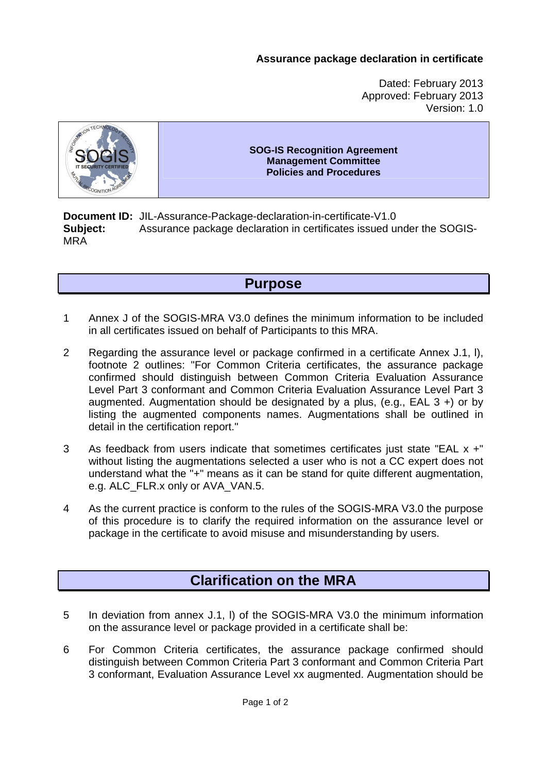#### **Assurance package declaration in certificate**

Dated: February 2013 Approved: February 2013 Version: 1.0



#### **SOG-IS Recognition Agreement Management Committee Policies and Procedures**

**Document ID:** JIL-Assurance-Package-declaration-in-certificate-V1.0 **Subject:** Assurance package declaration in certificates issued under the SOGIS-MRA

## **Purpose**

- 1 Annex J of the SOGIS-MRA V3.0 defines the minimum information to be included in all certificates issued on behalf of Participants to this MRA.
- 2 Regarding the assurance level or package confirmed in a certificate Annex J.1, l), footnote 2 outlines: "For Common Criteria certificates, the assurance package confirmed should distinguish between Common Criteria Evaluation Assurance Level Part 3 conformant and Common Criteria Evaluation Assurance Level Part 3 augmented. Augmentation should be designated by a plus, (e.g.,  $EAL 3 +$ ) or by listing the augmented components names. Augmentations shall be outlined in detail in the certification report."
- 3 As feedback from users indicate that sometimes certificates just state "EAL x +" without listing the augmentations selected a user who is not a CC expert does not understand what the "+" means as it can be stand for quite different augmentation, e.g. ALC\_FLR.x only or AVA\_VAN.5.
- 4 As the current practice is conform to the rules of the SOGIS-MRA V3.0 the purpose of this procedure is to clarify the required information on the assurance level or package in the certificate to avoid misuse and misunderstanding by users.

# **Clarification on the MRA**

- 5 In deviation from annex J.1, l) of the SOGIS-MRA V3.0 the minimum information on the assurance level or package provided in a certificate shall be:
- 6 For Common Criteria certificates, the assurance package confirmed should distinguish between Common Criteria Part 3 conformant and Common Criteria Part 3 conformant, Evaluation Assurance Level xx augmented. Augmentation should be